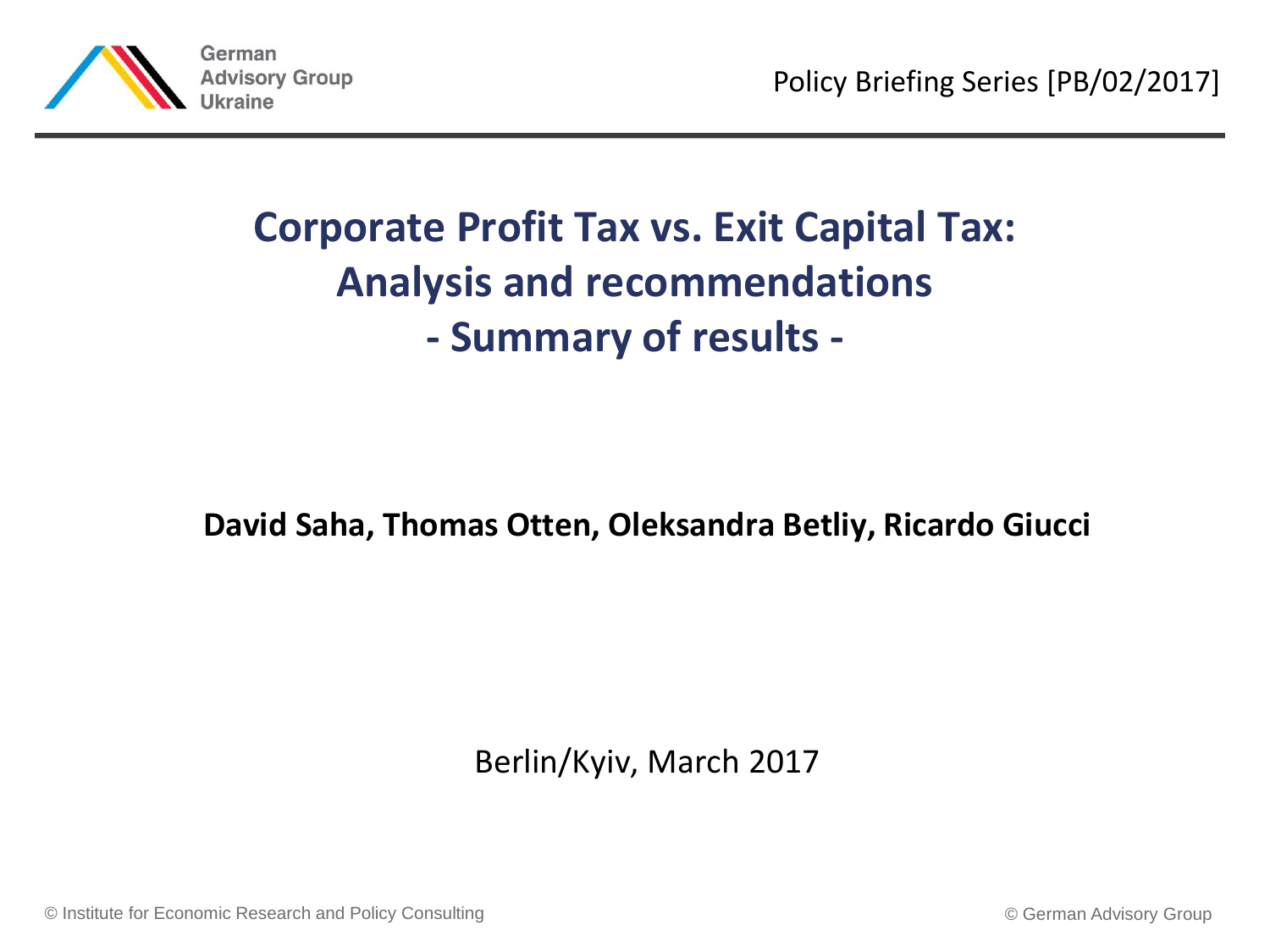

# **Corporate Profit Tax vs. Exit Capital Tax: Analysis and recommendations - Summary of results -**

#### **David Saha, Thomas Otten, Oleksandra Betliy, Ricardo Giucci**

Berlin/Kyiv, March 2017

© Institute for Economic Research and Policy Consulting © German Advisory Group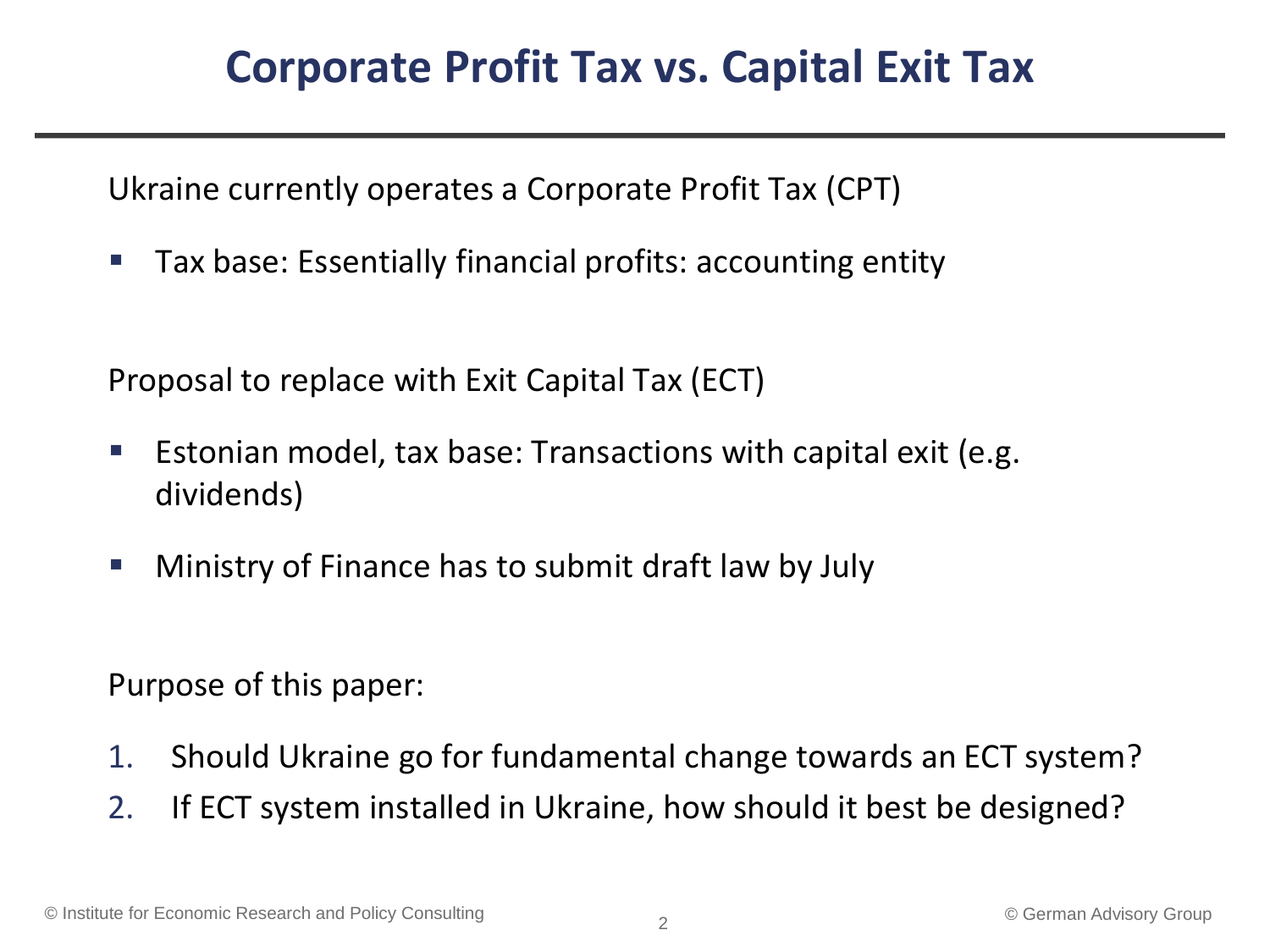# **Corporate Profit Tax vs. Capital Exit Tax**

Ukraine currently operates a Corporate Profit Tax (CPT)

**Tax base: Essentially financial profits: accounting entity** 

Proposal to replace with Exit Capital Tax (ECT)

- **E** Estonian model, tax base: Transactions with capital exit (e.g. dividends)
- Ministry of Finance has to submit draft law by July

Purpose of this paper:

- 1. Should Ukraine go for fundamental change towards an ECT system?
- 2. If ECT system installed in Ukraine, how should it best be designed?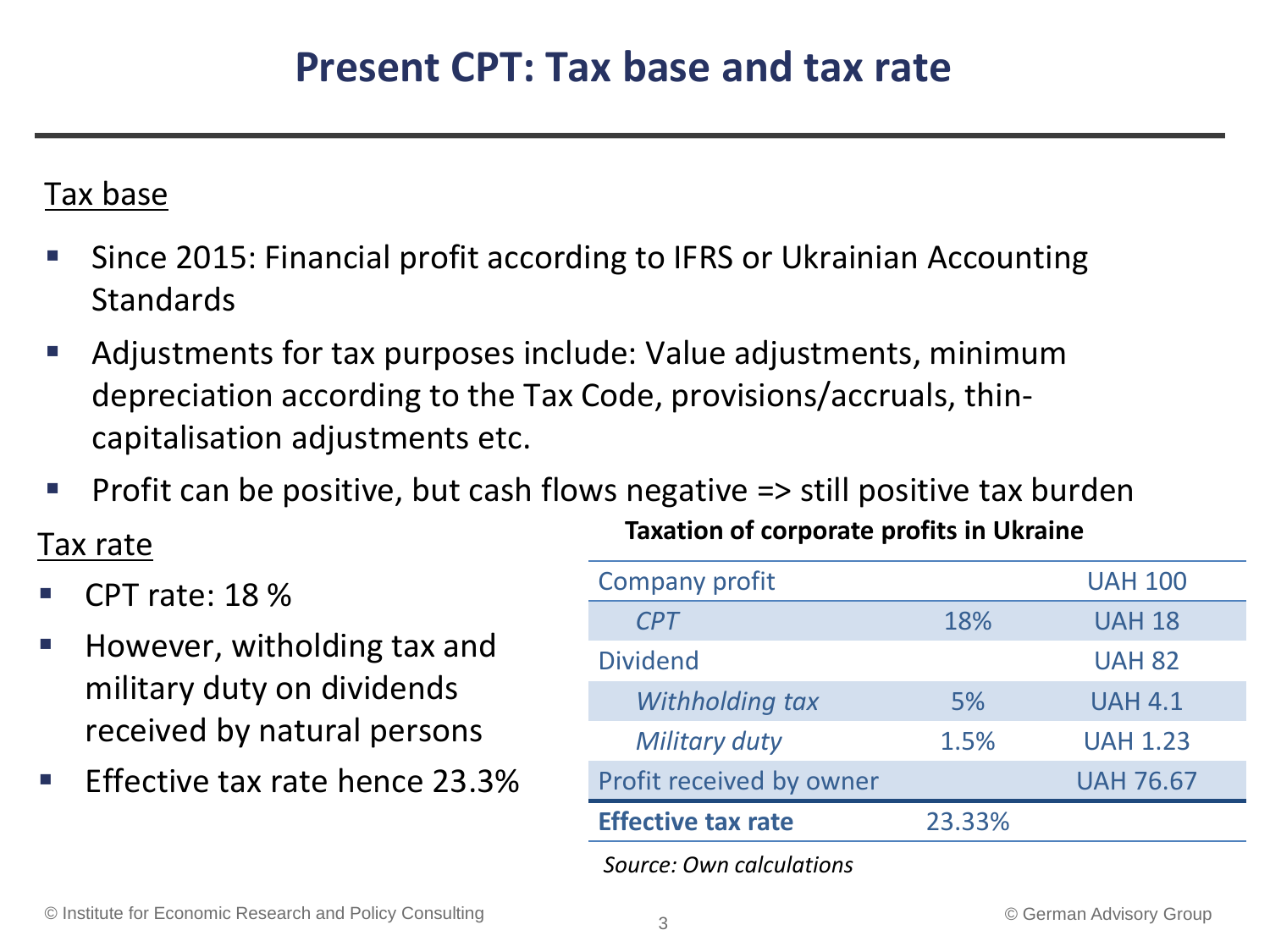#### Tax base

- Since 2015: Financial profit according to IFRS or Ukrainian Accounting Standards
- Adjustments for tax purposes include: Value adjustments, minimum depreciation according to the Tax Code, provisions/accruals, thincapitalisation adjustments etc.
- Profit can be positive, but cash flows negative => still positive tax burden

#### Tax rate

- CPT rate: 18 %
- $\blacksquare$  However, witholding tax and military duty on dividends received by natural persons
- Effective tax rate hence 23.3%

Company profit UAH 100 *CPT* 18% UAH 18 Dividend UAH 82 *Withholding tax* 5% UAH 4.1 *Military duty* 1.5% UAH 1.23 Profit received by owner UAH 76.67 **Effective tax rate** 23.33%

**Taxation of corporate profits in Ukraine**

*Source: Own calculations*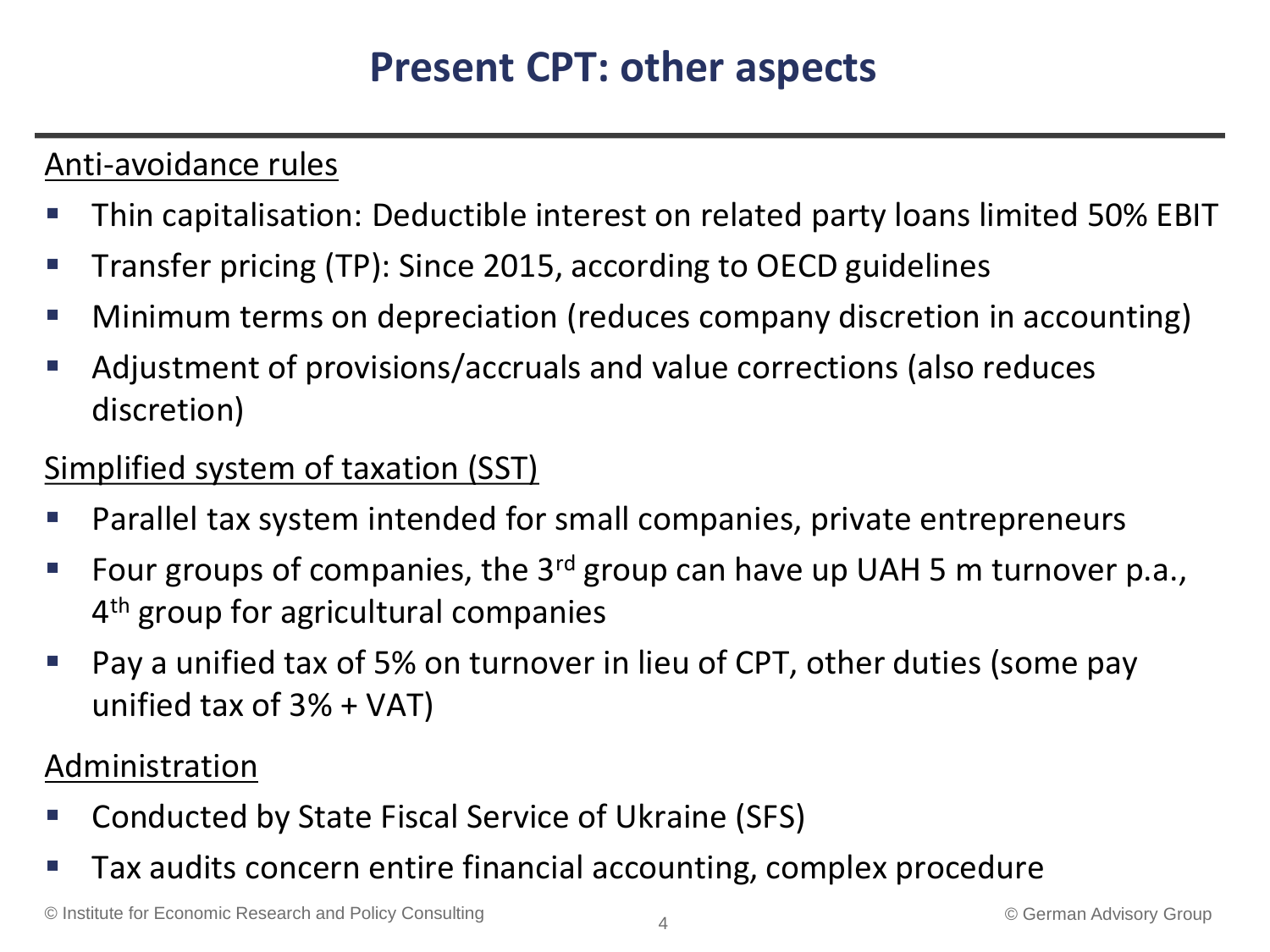# **Present CPT: other aspects**

### Anti-avoidance rules

- Thin capitalisation: Deductible interest on related party loans limited 50% EBIT
- Transfer pricing (TP): Since 2015, according to OECD guidelines
- Minimum terms on depreciation (reduces company discretion in accounting)
- Adjustment of provisions/accruals and value corrections (also reduces discretion)

### Simplified system of taxation (SST)

- Parallel tax system intended for small companies, private entrepreneurs
- Four groups of companies, the 3<sup>rd</sup> group can have up UAH 5 m turnover p.a., 4<sup>th</sup> group for agricultural companies
- Pay a unified tax of 5% on turnover in lieu of CPT, other duties (some pay unified tax of 3% + VAT)

### Administration

- Conducted by State Fiscal Service of Ukraine (SFS)
- Tax audits concern entire financial accounting, complex procedure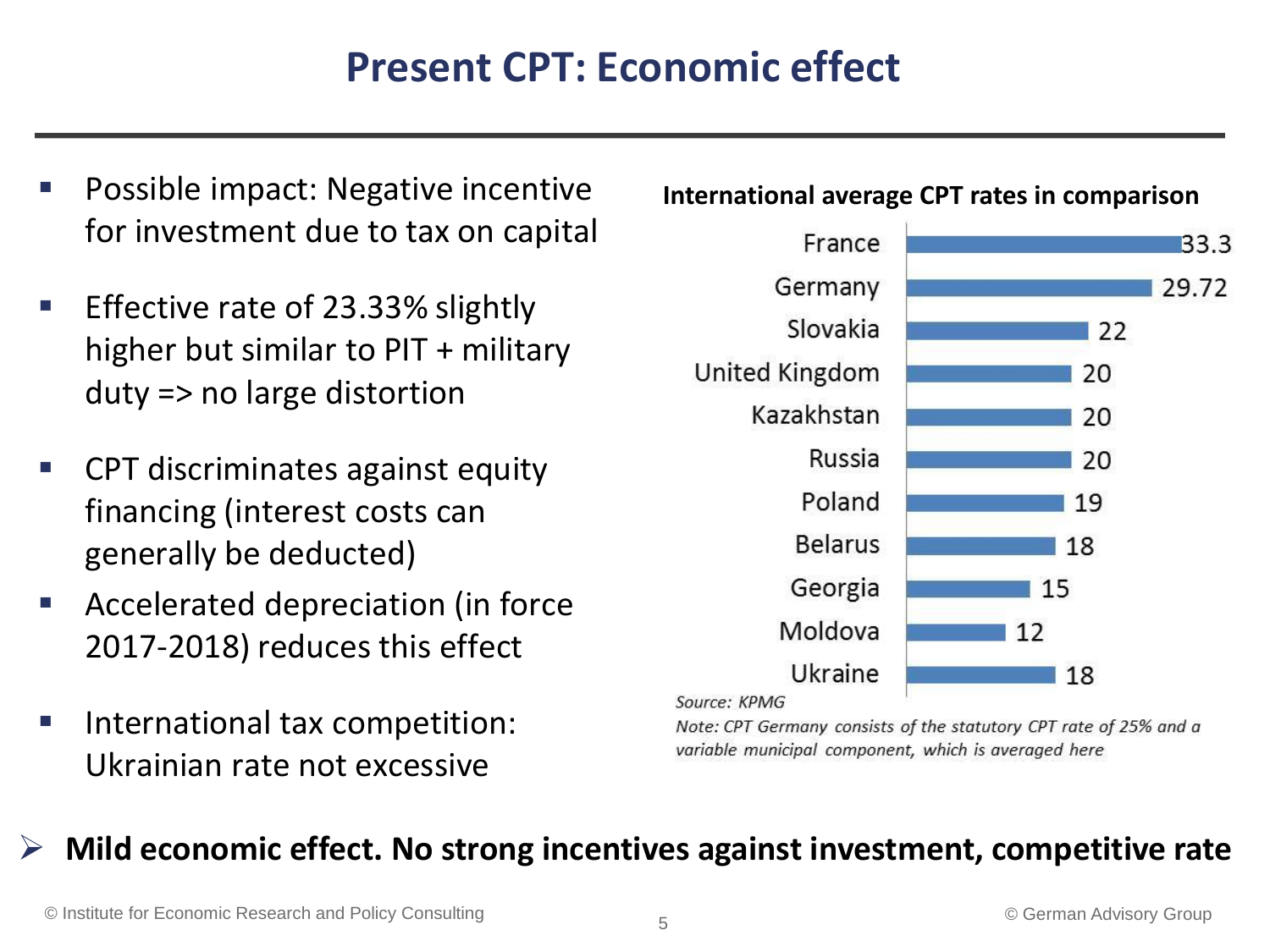# **Present CPT: Economic effect**

- Possible impact: Negative incentive for investment due to tax on capital
- **Effective rate of 23.33% slightly** higher but similar to PIT + military duty => no large distortion
- CPT discriminates against equity financing (interest costs can generally be deducted)
- Accelerated depreciation (in force 2017-2018) reduces this effect
- **IF** International tax competition: Ukrainian rate not excessive

#### **International average CPT rates in comparison**



Source: KPMG

Note: CPT Germany consists of the statutory CPT rate of 25% and a variable municipal component, which is averaged here

#### **Mild economic effect. No strong incentives against investment, competitive rate**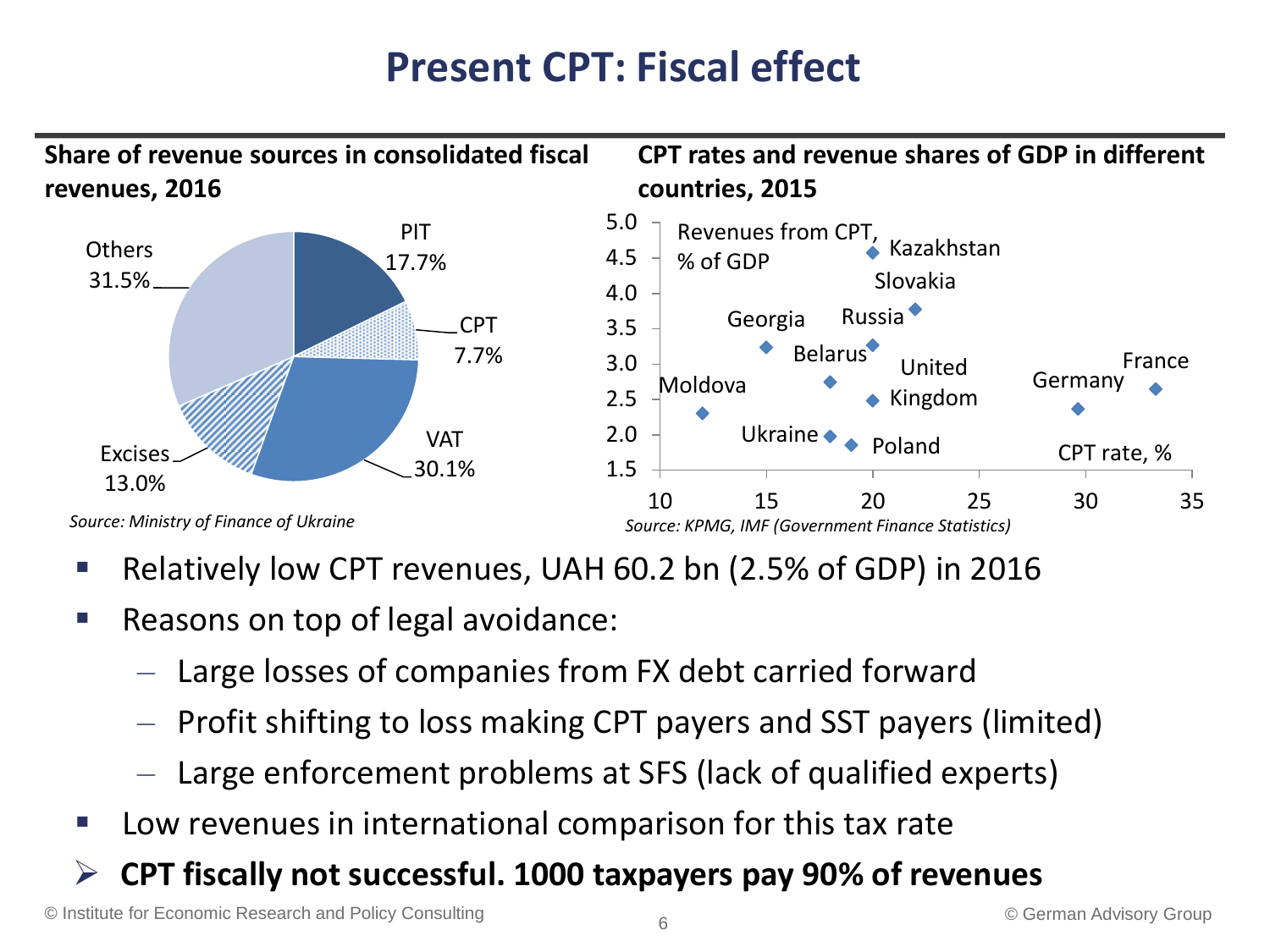# **Present CPT: Fiscal effect**



- **Relatively low CPT revenues, UAH 60.2 bn (2.5% of GDP) in 2016**
- Reasons on top of legal avoidance:
	- Large losses of companies from FX debt carried forward
	- Profit shifting to loss making CPT payers and SST payers (limited)
	- Large enforcement problems at SFS (lack of qualified experts)
- Low revenues in international comparison for this tax rate

### **CPT fiscally not successful. 1000 taxpayers pay 90% of revenues**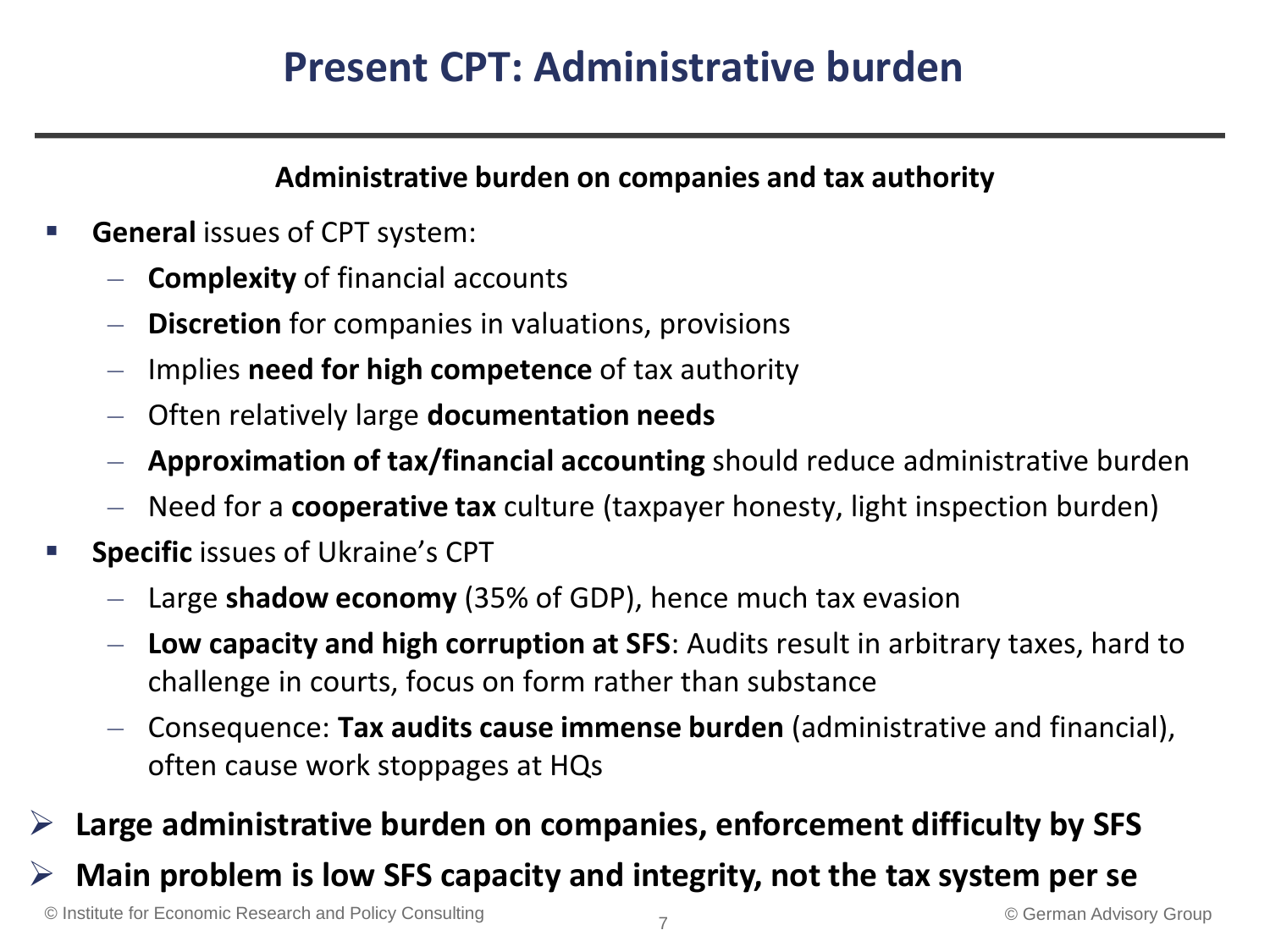# **Present CPT: Administrative burden**

#### **Administrative burden on companies and tax authority**

- **General** issues of CPT system:
	- **Complexity** of financial accounts
	- **Discretion** for companies in valuations, provisions
	- Implies **need for high competence** of tax authority
	- Often relatively large **documentation needs**
	- **Approximation of tax/financial accounting** should reduce administrative burden
	- Need for a **cooperative tax** culture (taxpayer honesty, light inspection burden)
- **Specific** issues of Ukraine's CPT
	- Large **shadow economy** (35% of GDP), hence much tax evasion
	- **Low capacity and high corruption at SFS**: Audits result in arbitrary taxes, hard to challenge in courts, focus on form rather than substance
	- Consequence: **Tax audits cause immense burden** (administrative and financial), often cause work stoppages at HQs

### **Large administrative burden on companies, enforcement difficulty by SFS Main problem is low SFS capacity and integrity, not the tax system per se**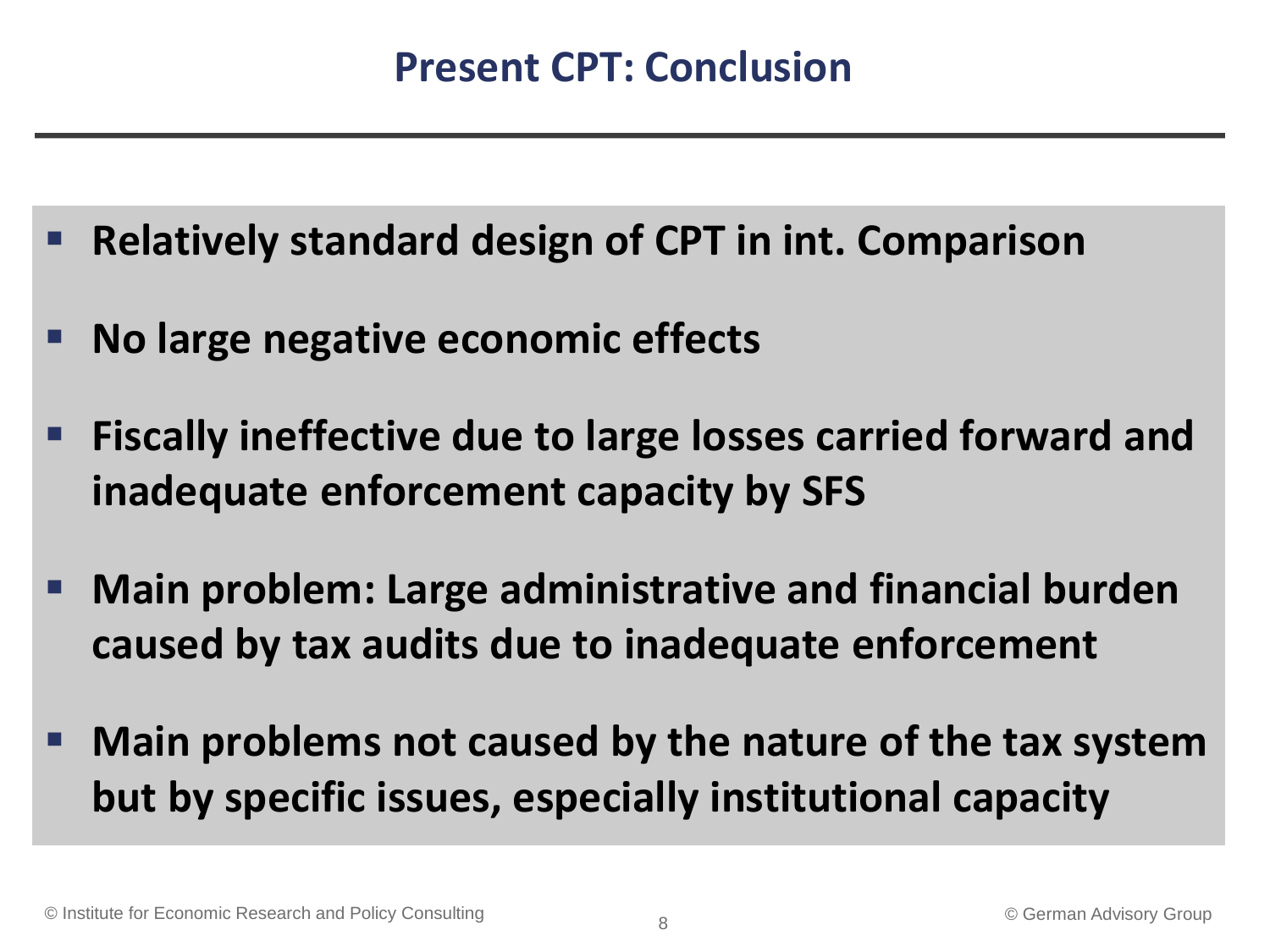- **Relatively standard design of CPT in int. Comparison**
- **No large negative economic effects**
- **Fiscally ineffective due to large losses carried forward and inadequate enforcement capacity by SFS**
- **Main problem: Large administrative and financial burden caused by tax audits due to inadequate enforcement**
- **Main problems not caused by the nature of the tax system but by specific issues, especially institutional capacity**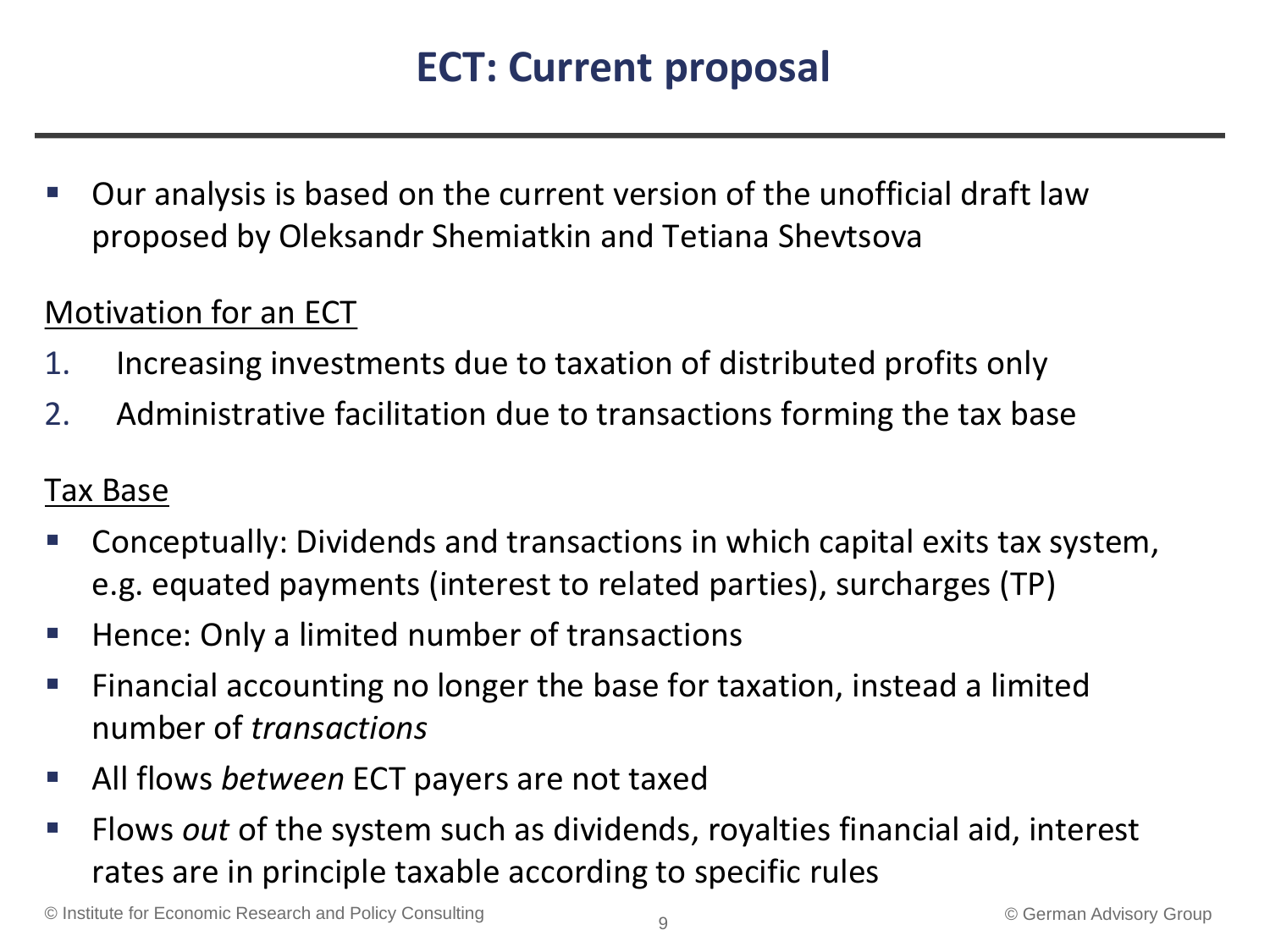Our analysis is based on the current version of the unofficial draft law proposed by Oleksandr Shemiatkin and Tetiana Shevtsova

### Motivation for an ECT

- 1. Increasing investments due to taxation of distributed profits only
- 2. Administrative facilitation due to transactions forming the tax base

### Tax Base

- Conceptually: Dividends and transactions in which capital exits tax system, e.g. equated payments (interest to related parties), surcharges (TP)
- Hence: Only a limited number of transactions
- $\blacksquare$  Financial accounting no longer the base for taxation, instead a limited number of *transactions*
- All flows *between* ECT payers are not taxed
- Flows *out* of the system such as dividends, royalties financial aid, interest rates are in principle taxable according to specific rules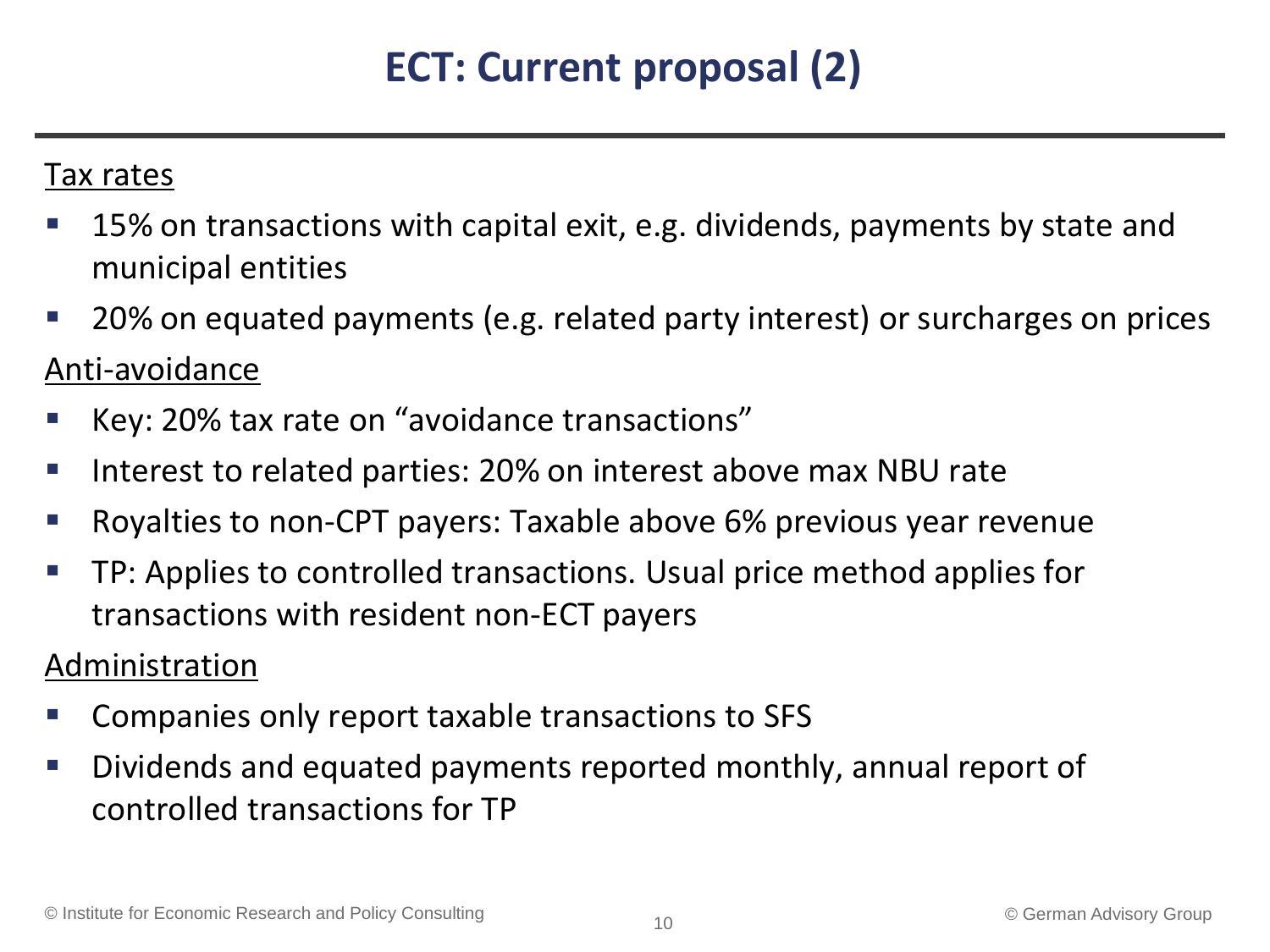# **ECT: Current proposal (2)**

### Tax rates

- 15% on transactions with capital exit, e.g. dividends, payments by state and municipal entities
- 20% on equated payments (e.g. related party interest) or surcharges on prices

#### Anti-avoidance

- Key: 20% tax rate on "avoidance transactions"
- Interest to related parties: 20% on interest above max NBU rate
- Royalties to non-CPT payers: Taxable above 6% previous year revenue
- TP: Applies to controlled transactions. Usual price method applies for transactions with resident non-ECT payers

#### Administration

- Companies only report taxable transactions to SFS
- Dividends and equated payments reported monthly, annual report of controlled transactions for TP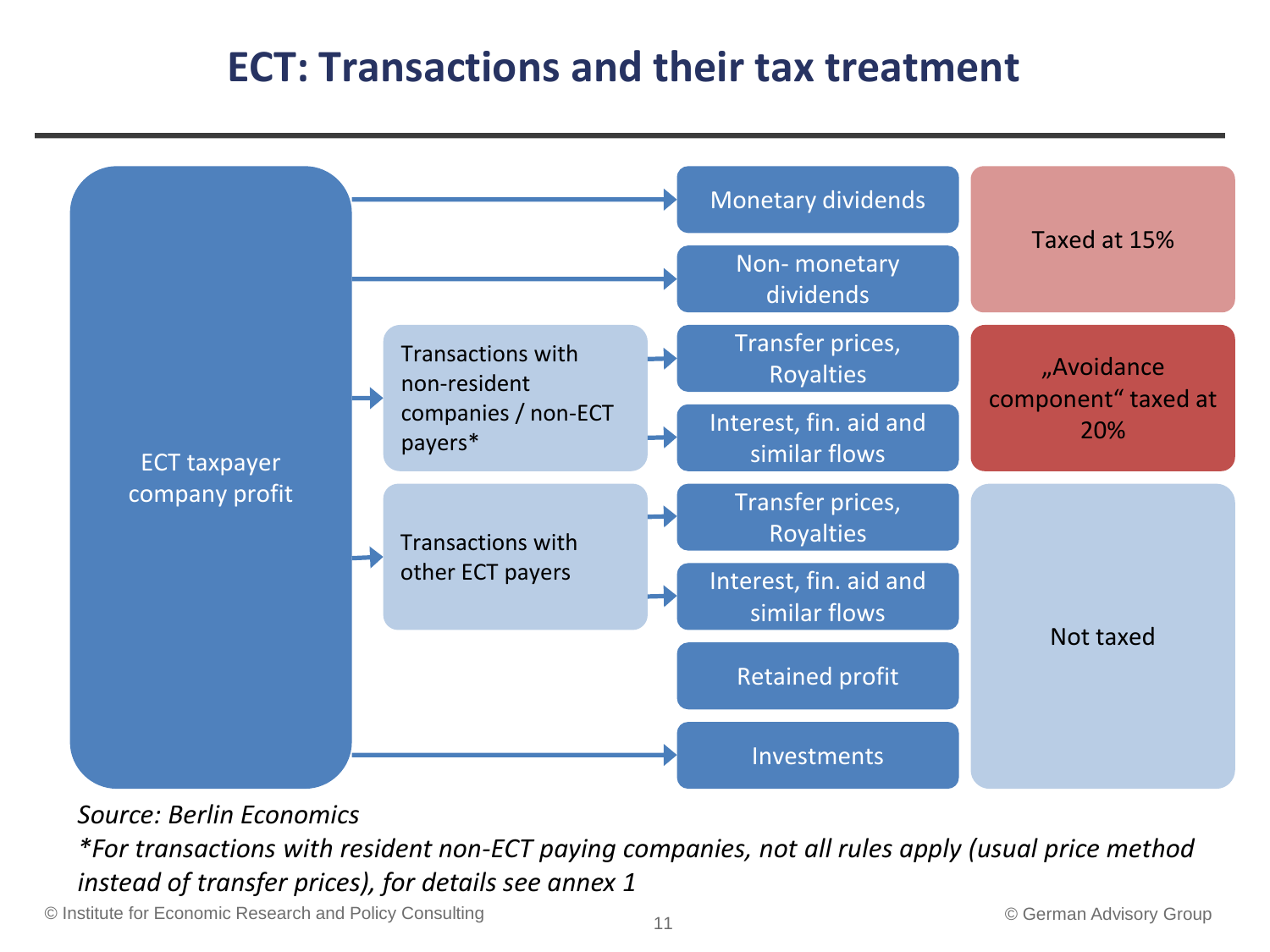# **ECT: Transactions and their tax treatment**



*Source: Berlin Economics*

*\*For transactions with resident non-ECT paying companies, not all rules apply (usual price method instead of transfer prices), for details see annex 1*

© Institute for Economic Research and Policy Consulting © German Advisory Group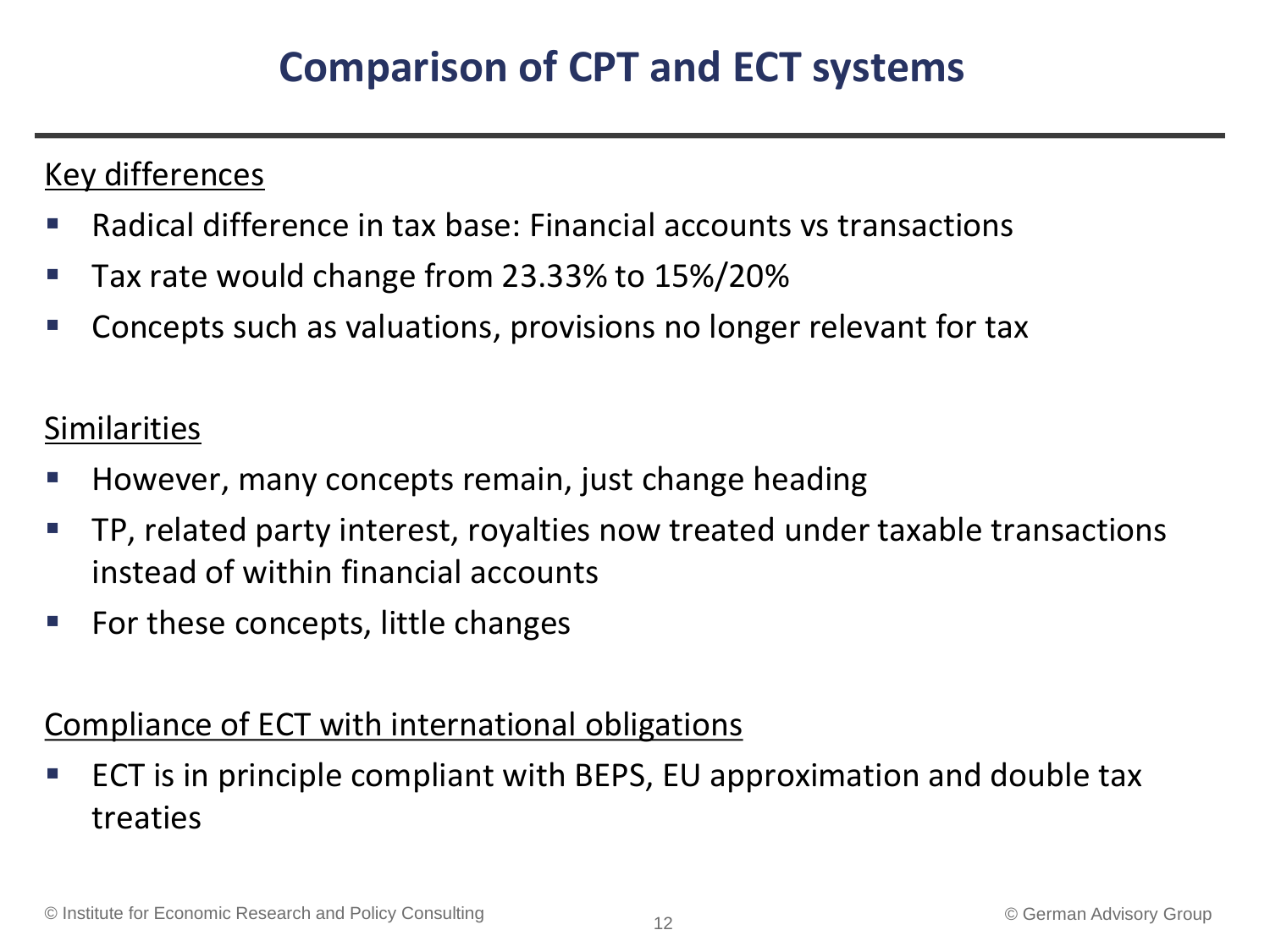### Key differences

- Radical difference in tax base: Financial accounts vs transactions
- Tax rate would change from 23.33% to 15%/20%
- Concepts such as valuations, provisions no longer relevant for tax

### Similarities

- However, many concepts remain, just change heading
- TP, related party interest, royalties now treated under taxable transactions instead of within financial accounts
- $\blacksquare$  For these concepts, little changes

### Compliance of ECT with international obligations

 ECT is in principle compliant with BEPS, EU approximation and double tax treaties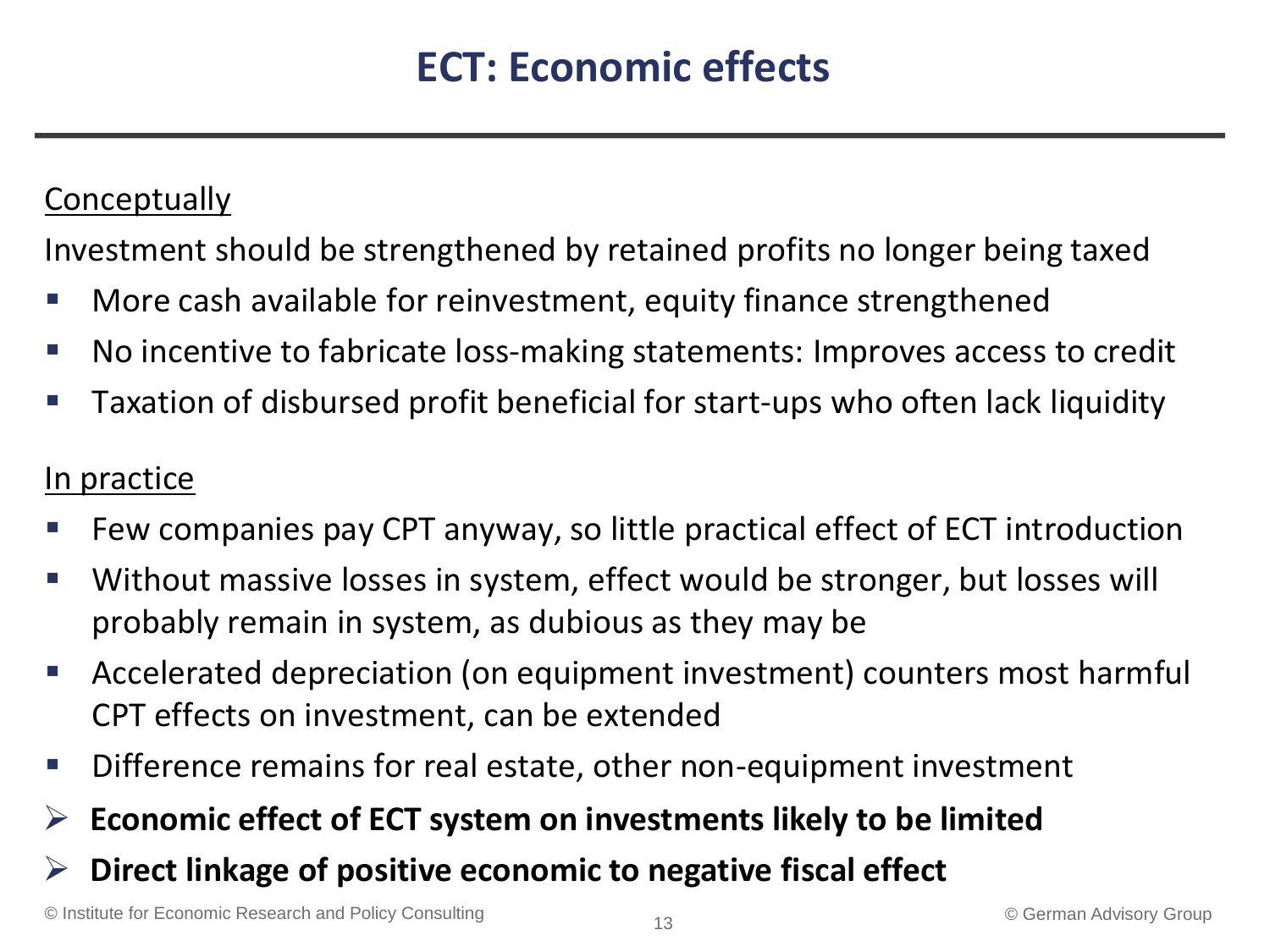#### **Conceptually**

Investment should be strengthened by retained profits no longer being taxed

- More cash available for reinvestment, equity finance strengthened
- No incentive to fabricate loss-making statements: Improves access to credit
- Taxation of disbursed profit beneficial for start-ups who often lack liquidity

#### In practice

- Few companies pay CPT anyway, so little practical effect of ECT introduction
- Without massive losses in system, effect would be stronger, but losses will probably remain in system, as dubious as they may be
- Accelerated depreciation (on equipment investment) counters most harmful CPT effects on investment, can be extended
- **Difference remains for real estate, other non-equipment investment**
- **Economic effect of ECT system on investments likely to be limited**
- **Direct linkage of positive economic to negative fiscal effect**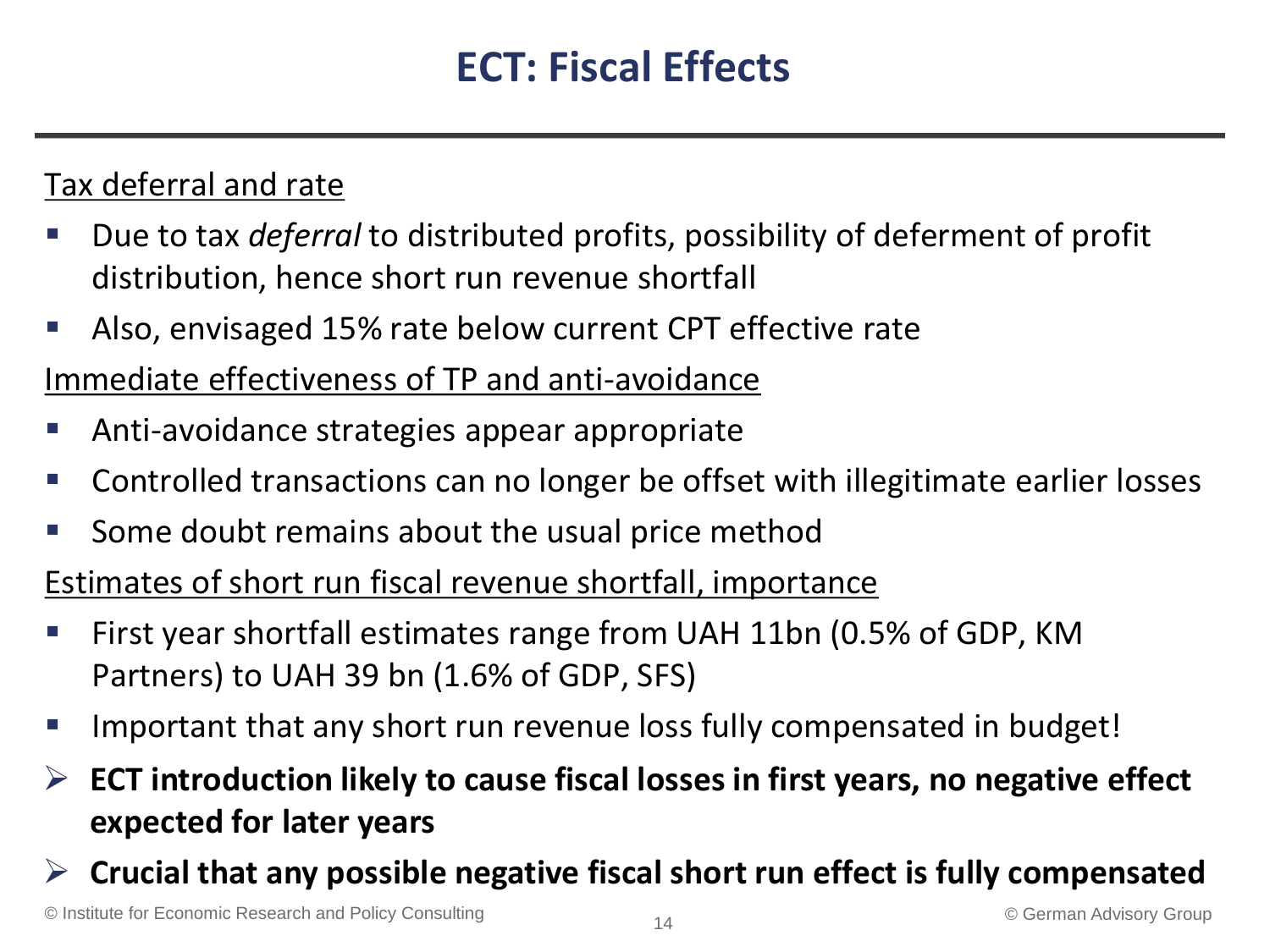### Tax deferral and rate

- Due to tax *deferral* to distributed profits, possibility of deferment of profit distribution, hence short run revenue shortfall
- Also, envisaged 15% rate below current CPT effective rate

### Immediate effectiveness of TP and anti-avoidance

- Anti-avoidance strategies appear appropriate
- Controlled transactions can no longer be offset with illegitimate earlier losses
- Some doubt remains about the usual price method

### Estimates of short run fiscal revenue shortfall, importance

- First year shortfall estimates range from UAH 11bn (0.5% of GDP, KM Partners) to UAH 39 bn (1.6% of GDP, SFS)
- Important that any short run revenue loss fully compensated in budget!
- **ECT introduction likely to cause fiscal losses in first years, no negative effect expected for later years**
- **Crucial that any possible negative fiscal short run effect is fully compensated**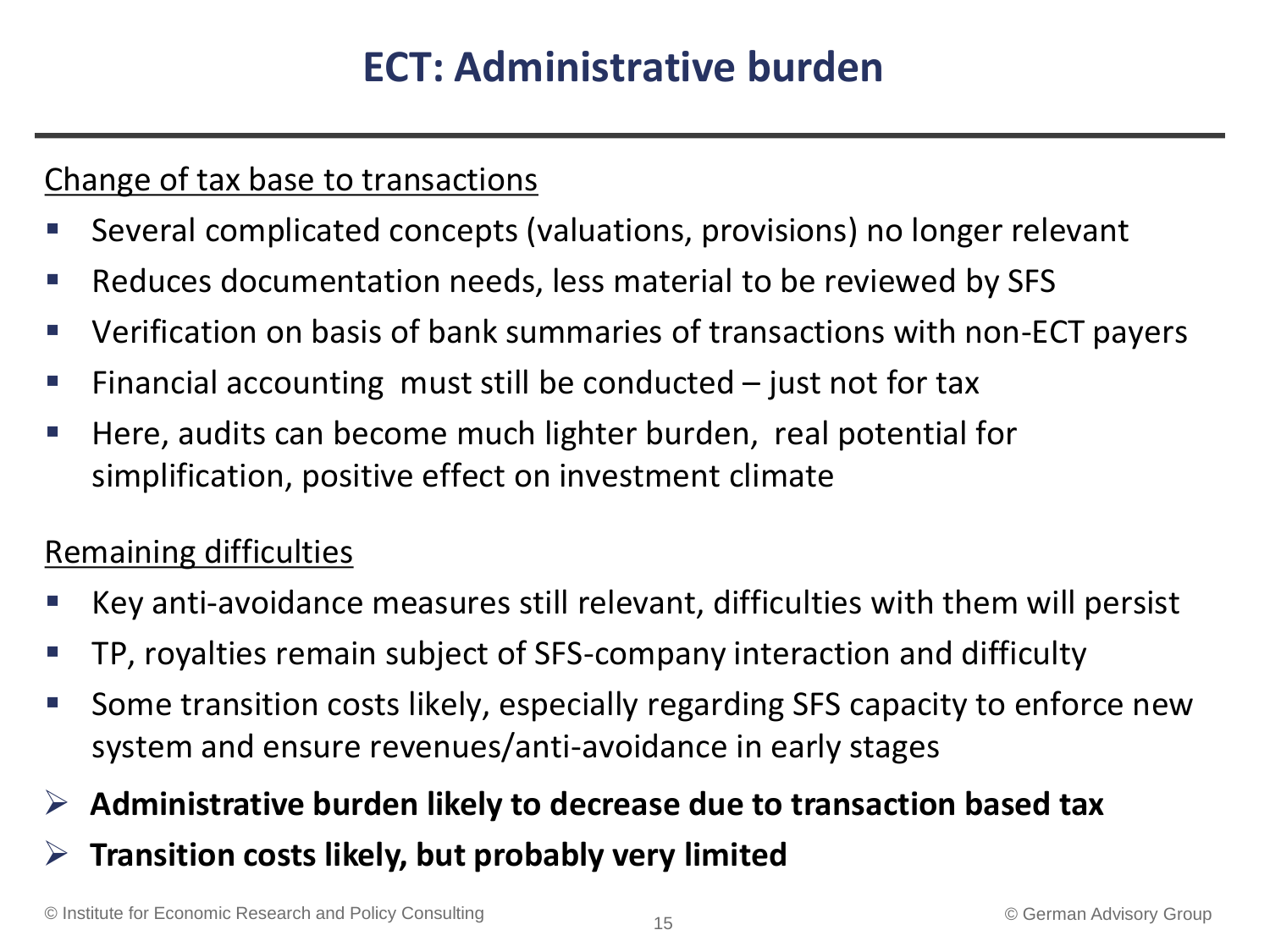### Change of tax base to transactions

- Several complicated concepts (valuations, provisions) no longer relevant
- Reduces documentation needs, less material to be reviewed by SFS
- Verification on basis of bank summaries of transactions with non-ECT payers
- Financial accounting must still be conducted  $-$  just not for tax
- Here, audits can become much lighter burden, real potential for simplification, positive effect on investment climate

### Remaining difficulties

- Key anti-avoidance measures still relevant, difficulties with them will persist
- TP, royalties remain subject of SFS-company interaction and difficulty
- Some transition costs likely, especially regarding SFS capacity to enforce new system and ensure revenues/anti-avoidance in early stages
- **Administrative burden likely to decrease due to transaction based tax**
- **Transition costs likely, but probably very limited**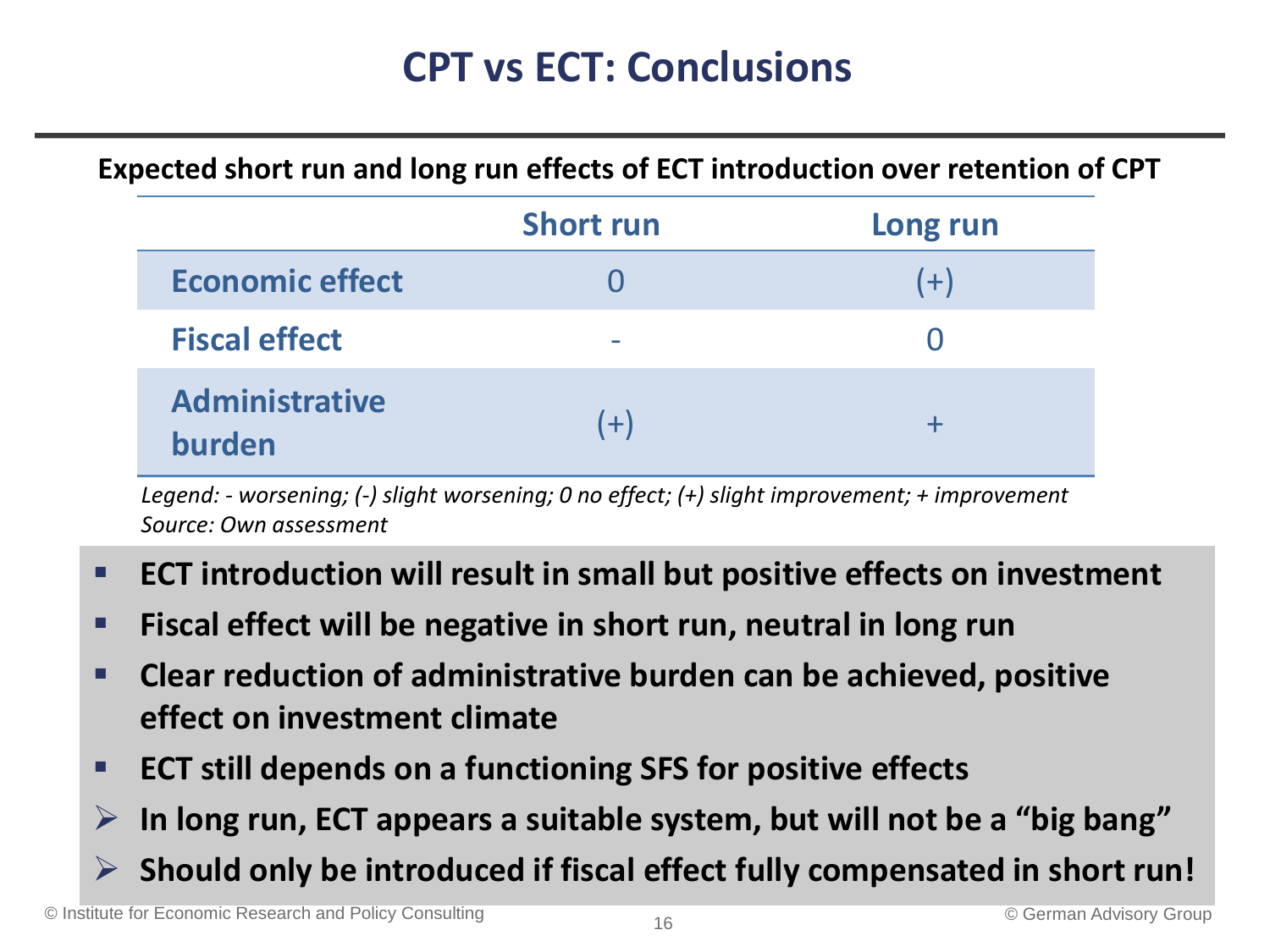# **CPT vs ECT: Conclusions**

#### **Expected short run and long run effects of ECT introduction over retention of CPT**

|                                 | <b>Short run</b> | Long run |
|---------------------------------|------------------|----------|
| <b>Economic effect</b>          |                  | $(+)$    |
| <b>Fiscal effect</b>            |                  |          |
| <b>Administrative</b><br>burden | $(+)$            |          |

*Legend: - worsening; (-) slight worsening; 0 no effect; (+) slight improvement; + improvement Source: Own assessment*

- **ECT introduction will result in small but positive effects on investment**
- **Fiscal effect will be negative in short run, neutral in long run**
- **Clear reduction of administrative burden can be achieved, positive effect on investment climate**
- **ECT still depends on a functioning SFS for positive effects**
- **In long run, ECT appears a suitable system, but will not be a "big bang"**
- **Should only be introduced if fiscal effect fully compensated in short run!**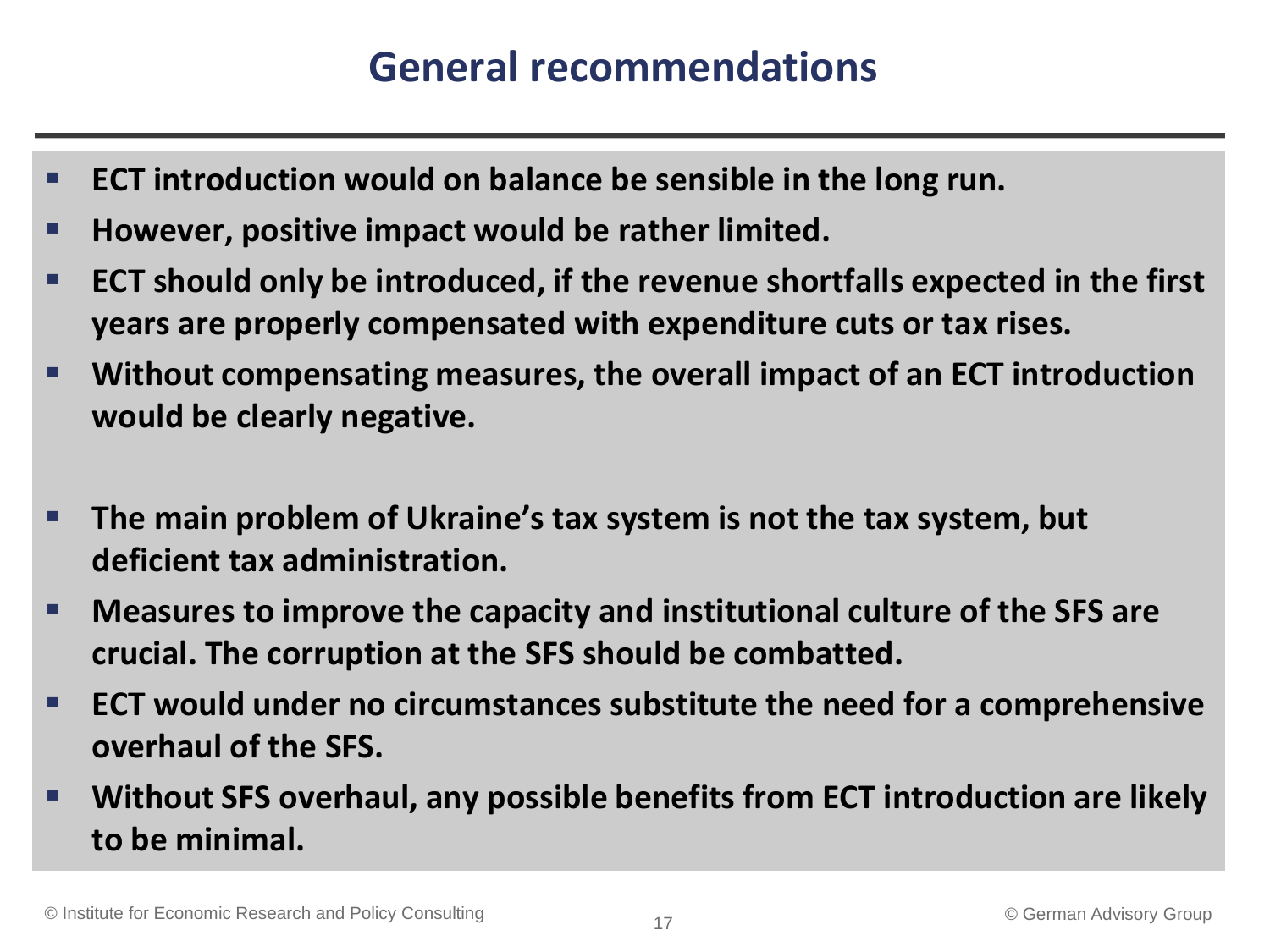# **General recommendations**

- **ECT introduction would on balance be sensible in the long run.**
- **However, positive impact would be rather limited.**
- **ECT should only be introduced, if the revenue shortfalls expected in the first years are properly compensated with expenditure cuts or tax rises.**
- **Without compensating measures, the overall impact of an ECT introduction would be clearly negative.**
- **The main problem of Ukraine's tax system is not the tax system, but deficient tax administration.**
- **Measures to improve the capacity and institutional culture of the SFS are crucial. The corruption at the SFS should be combatted.**
- **ECT would under no circumstances substitute the need for a comprehensive overhaul of the SFS.**
- **Without SFS overhaul, any possible benefits from ECT introduction are likely to be minimal.**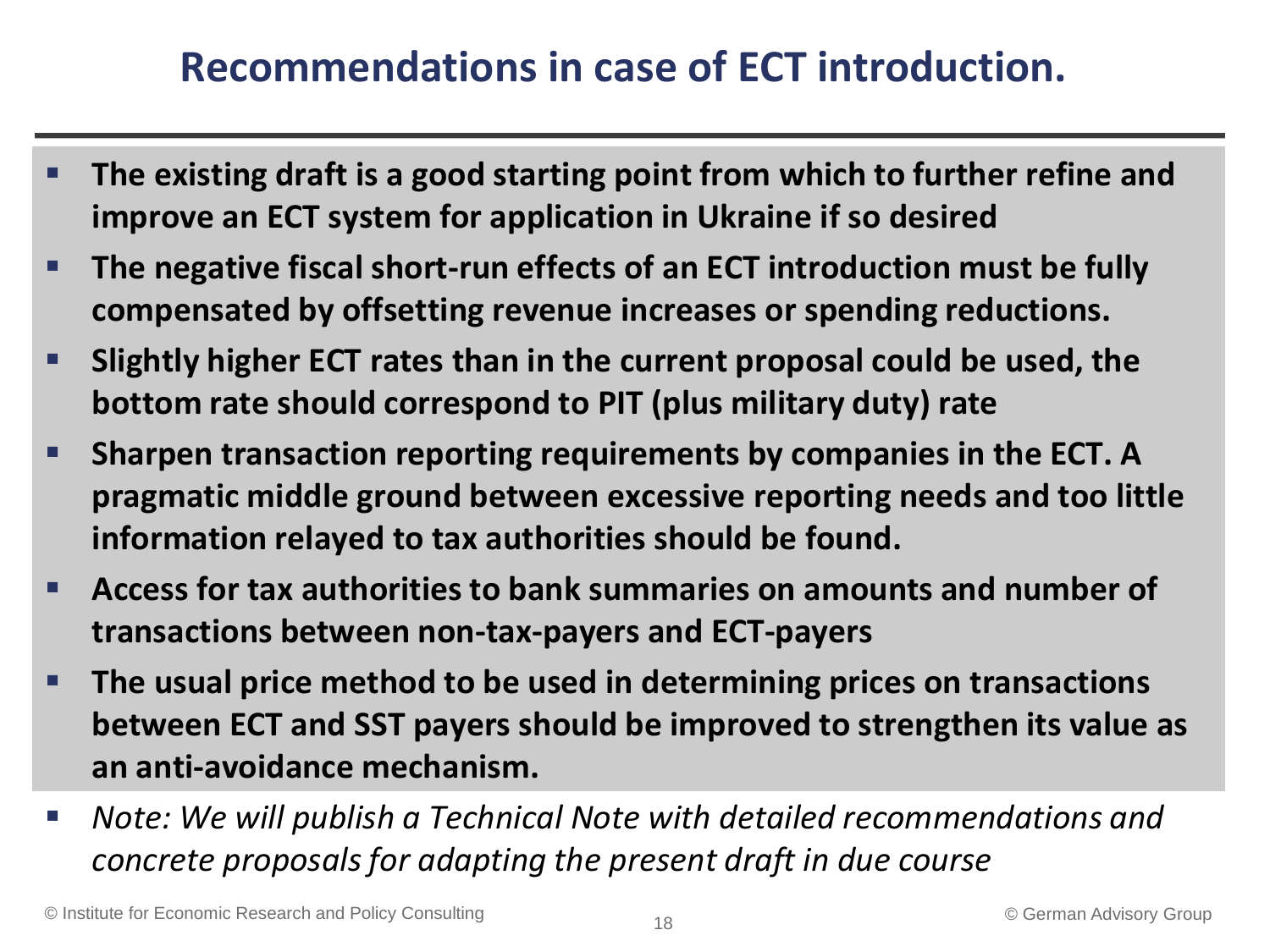# **Recommendations in case of ECT introduction.**

- **The existing draft is a good starting point from which to further refine and improve an ECT system for application in Ukraine if so desired**
- **The negative fiscal short-run effects of an ECT introduction must be fully compensated by offsetting revenue increases or spending reductions.**
- **Slightly higher ECT rates than in the current proposal could be used, the bottom rate should correspond to PIT (plus military duty) rate**
- **Sharpen transaction reporting requirements by companies in the ECT. A pragmatic middle ground between excessive reporting needs and too little information relayed to tax authorities should be found.**
- **Access for tax authorities to bank summaries on amounts and number of transactions between non-tax-payers and ECT-payers**
- **The usual price method to be used in determining prices on transactions between ECT and SST payers should be improved to strengthen its value as an anti-avoidance mechanism.**
- *Note: We will publish a Technical Note with detailed recommendations and concrete proposals for adapting the present draft in due course*

© Institute for Economic Research and Policy Consulting © German Advisory Group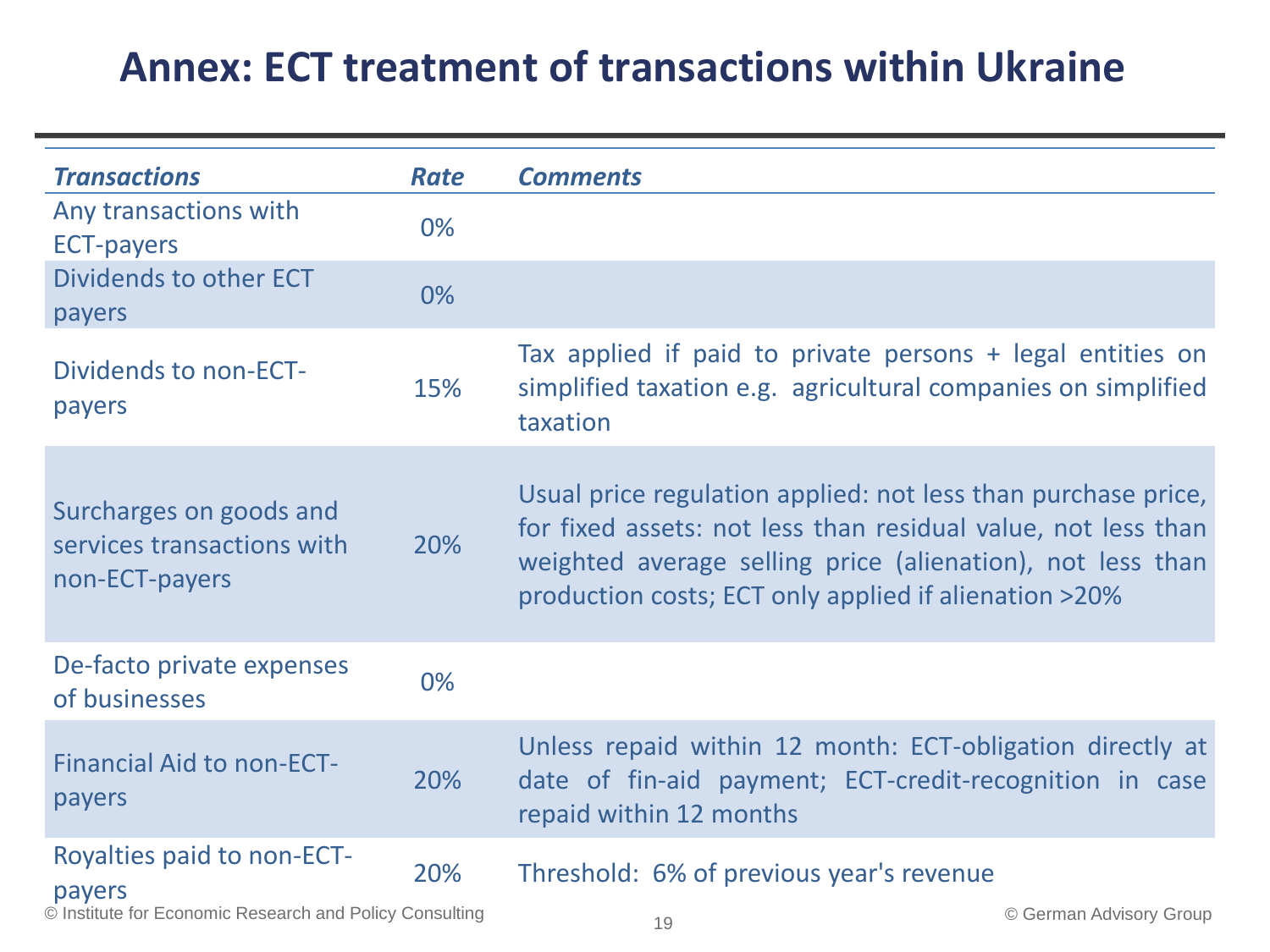# **Annex: ECT treatment of transactions within Ukraine**

| <b>Transactions</b>                                                                             | <b>Rate</b> | <b>Comments</b>                                                                                                                                                                                                                                       |
|-------------------------------------------------------------------------------------------------|-------------|-------------------------------------------------------------------------------------------------------------------------------------------------------------------------------------------------------------------------------------------------------|
| Any transactions with<br><b>ECT-payers</b>                                                      | $0\%$       |                                                                                                                                                                                                                                                       |
| Dividends to other ECT<br>payers                                                                | 0%          |                                                                                                                                                                                                                                                       |
| Dividends to non-ECT-<br>payers                                                                 | 15%         | Tax applied if paid to private persons + legal entities on<br>simplified taxation e.g. agricultural companies on simplified<br>taxation                                                                                                               |
| Surcharges on goods and<br>services transactions with<br>non-ECT-payers                         | 20%         | Usual price regulation applied: not less than purchase price,<br>for fixed assets: not less than residual value, not less than<br>weighted average selling price (alienation), not less than<br>production costs; ECT only applied if alienation >20% |
| De-facto private expenses<br>of businesses                                                      | 0%          |                                                                                                                                                                                                                                                       |
| <b>Financial Aid to non-ECT-</b><br>payers                                                      | 20%         | Unless repaid within 12 month: ECT-obligation directly at<br>date of fin-aid payment; ECT-credit-recognition in case<br>repaid within 12 months                                                                                                       |
| Royalties paid to non-ECT-<br>payers<br>© Institute for Economic Research and Policy Consulting | 20%         | Threshold: 6% of previous year's revenue<br>© German Advisory Group<br>19                                                                                                                                                                             |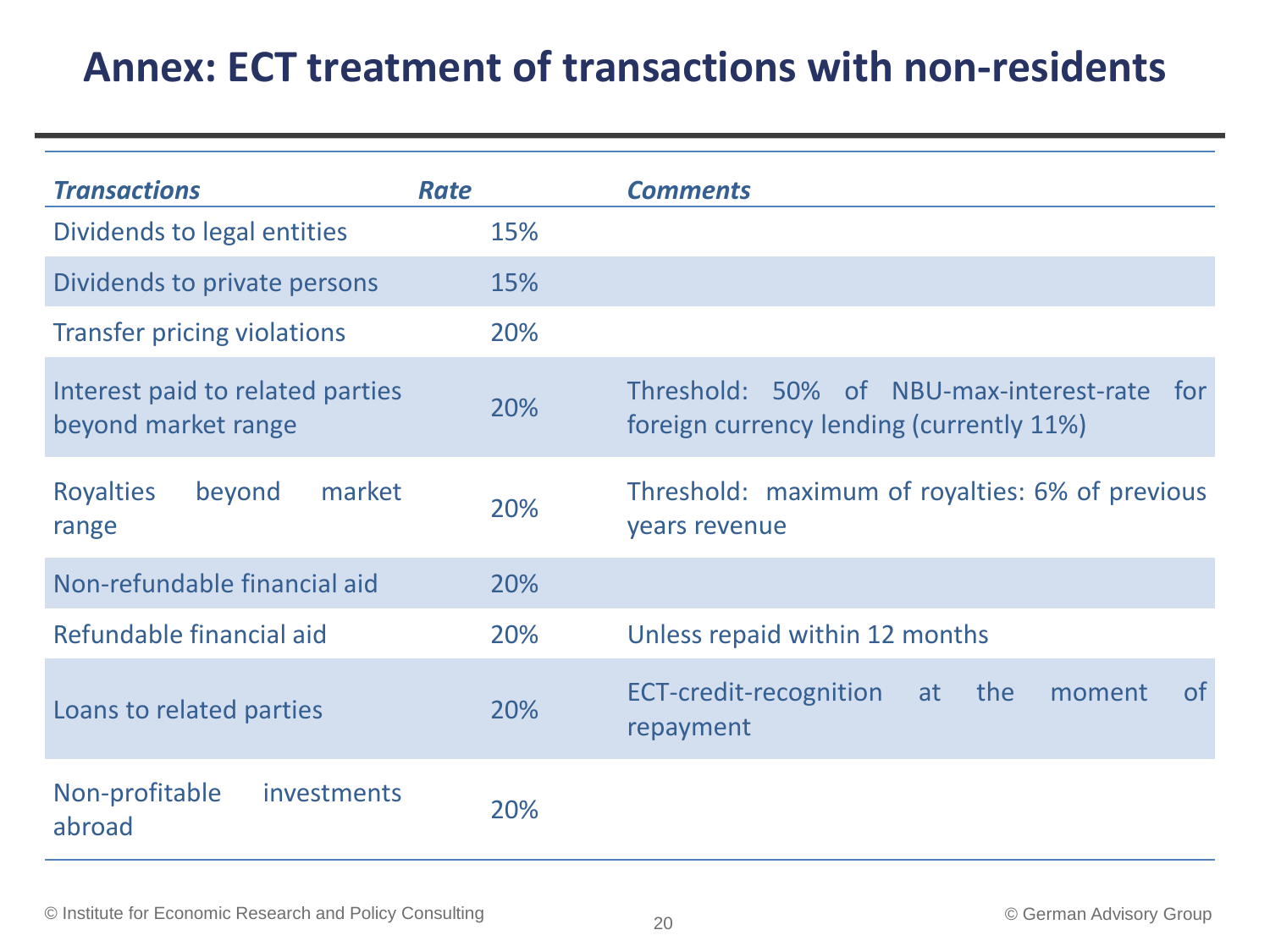# **Annex: ECT treatment of transactions with non-residents**

| <b>Transactions</b>                                     | <b>Rate</b> | <b>Comments</b>                                                                            |
|---------------------------------------------------------|-------------|--------------------------------------------------------------------------------------------|
| Dividends to legal entities                             | 15%         |                                                                                            |
| Dividends to private persons                            | 15%         |                                                                                            |
| <b>Transfer pricing violations</b>                      | 20%         |                                                                                            |
| Interest paid to related parties<br>beyond market range | 20%         | Threshold: 50% of NBU-max-interest-rate<br>for<br>foreign currency lending (currently 11%) |
| <b>Royalties</b><br>beyond<br>market<br>range           | 20%         | Threshold: maximum of royalties: 6% of previous<br>years revenue                           |
| Non-refundable financial aid                            | 20%         |                                                                                            |
| Refundable financial aid                                | 20%         | Unless repaid within 12 months                                                             |
| Loans to related parties                                | 20%         | the<br>ECT-credit-recognition<br><b>of</b><br>at<br>moment<br>repayment                    |
| Non-profitable<br>investments<br>abroad                 | 20%         |                                                                                            |